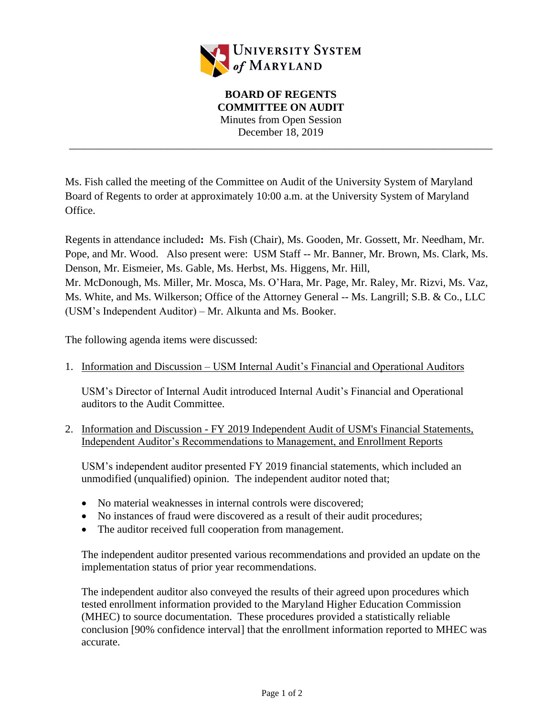

\_\_\_\_\_\_\_\_\_\_\_\_\_\_\_\_\_\_\_\_\_\_\_\_\_\_\_\_\_\_\_\_\_\_\_\_\_\_\_\_\_\_\_\_\_\_\_\_\_\_\_\_\_\_\_\_\_\_\_\_\_\_\_\_\_\_\_\_\_\_\_\_\_\_\_\_\_\_

Ms. Fish called the meeting of the Committee on Audit of the University System of Maryland Board of Regents to order at approximately 10:00 a.m. at the University System of Maryland Office.

Regents in attendance included**:** Ms. Fish (Chair), Ms. Gooden, Mr. Gossett, Mr. Needham, Mr. Pope, and Mr. Wood. Also present were: USM Staff -- Mr. Banner, Mr. Brown, Ms. Clark, Ms. Denson, Mr. Eismeier, Ms. Gable, Ms. Herbst, Ms. Higgens, Mr. Hill, Mr. McDonough, Ms. Miller, Mr. Mosca, Ms. O'Hara, Mr. Page, Mr. Raley, Mr. Rizvi, Ms. Vaz, Ms. White, and Ms. Wilkerson; Office of the Attorney General -- Ms. Langrill; S.B. & Co., LLC (USM's Independent Auditor) – Mr. Alkunta and Ms. Booker.

The following agenda items were discussed:

1. Information and Discussion – USM Internal Audit's Financial and Operational Auditors

USM's Director of Internal Audit introduced Internal Audit's Financial and Operational auditors to the Audit Committee.

2. Information and Discussion - FY 2019 Independent Audit of USM's Financial Statements, Independent Auditor's Recommendations to Management, and Enrollment Reports

USM's independent auditor presented FY 2019 financial statements, which included an unmodified (unqualified) opinion. The independent auditor noted that;

- No material weaknesses in internal controls were discovered;
- No instances of fraud were discovered as a result of their audit procedures;
- The auditor received full cooperation from management.

The independent auditor presented various recommendations and provided an update on the implementation status of prior year recommendations.

The independent auditor also conveyed the results of their agreed upon procedures which tested enrollment information provided to the Maryland Higher Education Commission (MHEC) to source documentation. These procedures provided a statistically reliable conclusion [90% confidence interval] that the enrollment information reported to MHEC was accurate.